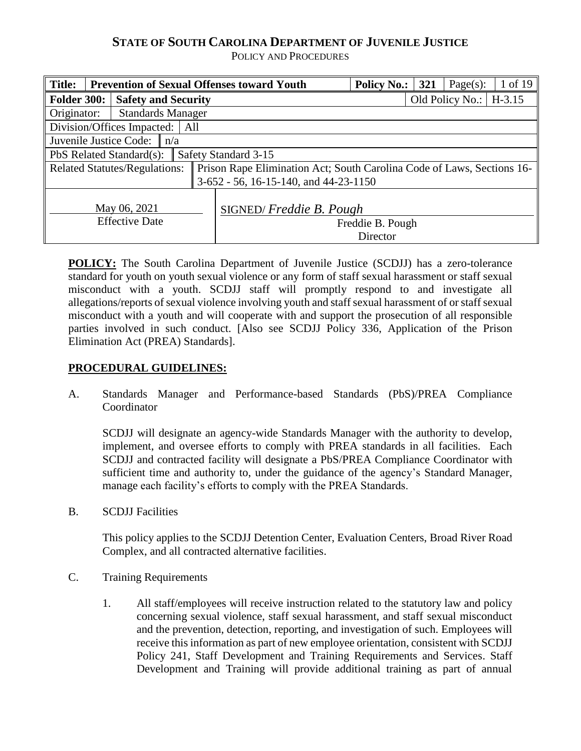# **STATE OF SOUTH CAROLINA DEPARTMENT OF JUVENILE JUSTICE**

POLICY AND PROCEDURES

| <b>Title:</b>                           |                                      |  | <b>Prevention of Sexual Offenses toward Youth</b>                      | <b>Policy No.:</b>           | 321 | Page $(s)$ :    | 1 of 19  |
|-----------------------------------------|--------------------------------------|--|------------------------------------------------------------------------|------------------------------|-----|-----------------|----------|
| Folder 300:                             | <b>Safety and Security</b>           |  |                                                                        |                              |     | Old Policy No.: | $H-3.15$ |
| <b>Standards Manager</b><br>Originator: |                                      |  |                                                                        |                              |     |                 |          |
|                                         | Division/Offices Impacted:<br>All    |  |                                                                        |                              |     |                 |          |
|                                         | Juvenile Justice Code: $\ n/a\ $     |  |                                                                        |                              |     |                 |          |
| PbS Related Standard(s):                |                                      |  | Safety Standard 3-15                                                   |                              |     |                 |          |
|                                         | <b>Related Statutes/Regulations:</b> |  | Prison Rape Elimination Act; South Carolina Code of Laws, Sections 16- |                              |     |                 |          |
|                                         |                                      |  | $3-652 - 56$ , 16-15-140, and 44-23-1150                               |                              |     |                 |          |
| May 06, 2021<br><b>Effective Date</b>   |                                      |  | SIGNED/Freddie B. Pough                                                | Freddie B. Pough<br>Director |     |                 |          |

**POLICY:** The South Carolina Department of Juvenile Justice (SCDJJ) has a zero-tolerance standard for youth on youth sexual violence or any form of staff sexual harassment or staff sexual misconduct with a youth. SCDJJ staff will promptly respond to and investigate all allegations/reports of sexual violence involving youth and staff sexual harassment of or staff sexual misconduct with a youth and will cooperate with and support the prosecution of all responsible parties involved in such conduct. [Also see SCDJJ Policy 336, Application of the Prison Elimination Act (PREA) Standards].

### **PROCEDURAL GUIDELINES:**

A. Standards Manager and Performance-based Standards (PbS)/PREA Compliance Coordinator

SCDJJ will designate an agency-wide Standards Manager with the authority to develop, implement, and oversee efforts to comply with PREA standards in all facilities. Each SCDJJ and contracted facility will designate a PbS/PREA Compliance Coordinator with sufficient time and authority to, under the guidance of the agency's Standard Manager, manage each facility's efforts to comply with the PREA Standards.

B. SCDJJ Facilities

This policy applies to the SCDJJ Detention Center, Evaluation Centers, Broad River Road Complex, and all contracted alternative facilities.

- C. Training Requirements
	- 1. All staff/employees will receive instruction related to the statutory law and policy concerning sexual violence, staff sexual harassment, and staff sexual misconduct and the prevention, detection, reporting, and investigation of such. Employees will receive this information as part of new employee orientation, consistent with SCDJJ Policy 241, Staff Development and Training Requirements and Services. Staff Development and Training will provide additional training as part of annual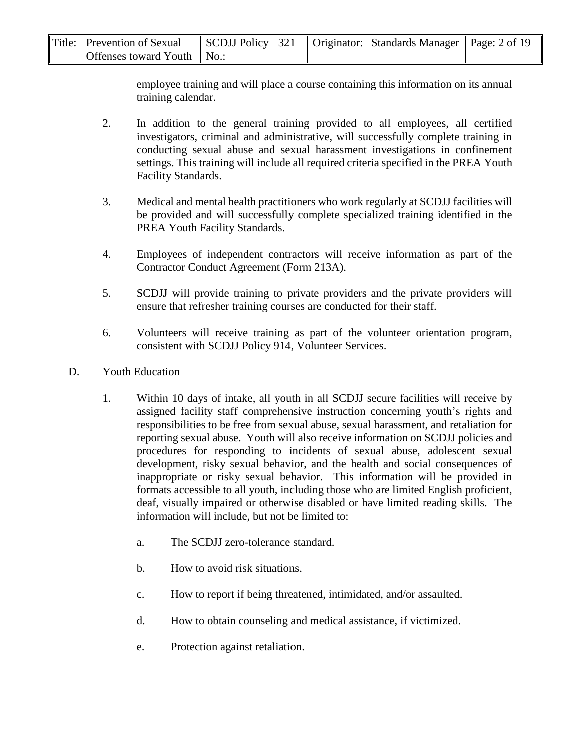| Title: Prevention of Sexual  |  | SCDJJ Policy 321   Originator: Standards Manager   Page: 2 of 19 |  |
|------------------------------|--|------------------------------------------------------------------|--|
| Offenses toward Youth   No.: |  |                                                                  |  |

employee training and will place a course containing this information on its annual training calendar.

- 2. In addition to the general training provided to all employees, all certified investigators, criminal and administrative, will successfully complete training in conducting sexual abuse and sexual harassment investigations in confinement settings. This training will include all required criteria specified in the PREA Youth Facility Standards.
- 3. Medical and mental health practitioners who work regularly at SCDJJ facilities will be provided and will successfully complete specialized training identified in the PREA Youth Facility Standards.
- 4. Employees of independent contractors will receive information as part of the Contractor Conduct Agreement (Form 213A).
- 5. SCDJJ will provide training to private providers and the private providers will ensure that refresher training courses are conducted for their staff.
- 6. Volunteers will receive training as part of the volunteer orientation program, consistent with SCDJJ Policy 914, Volunteer Services.
- D. Youth Education
	- 1. Within 10 days of intake, all youth in all SCDJJ secure facilities will receive by assigned facility staff comprehensive instruction concerning youth's rights and responsibilities to be free from sexual abuse, sexual harassment, and retaliation for reporting sexual abuse. Youth will also receive information on SCDJJ policies and procedures for responding to incidents of sexual abuse, adolescent sexual development, risky sexual behavior, and the health and social consequences of inappropriate or risky sexual behavior. This information will be provided in formats accessible to all youth, including those who are limited English proficient, deaf, visually impaired or otherwise disabled or have limited reading skills. The information will include, but not be limited to:
		- a. The SCDJJ zero-tolerance standard.
		- b. How to avoid risk situations.
		- c. How to report if being threatened, intimidated, and/or assaulted.
		- d. How to obtain counseling and medical assistance, if victimized.
		- e. Protection against retaliation.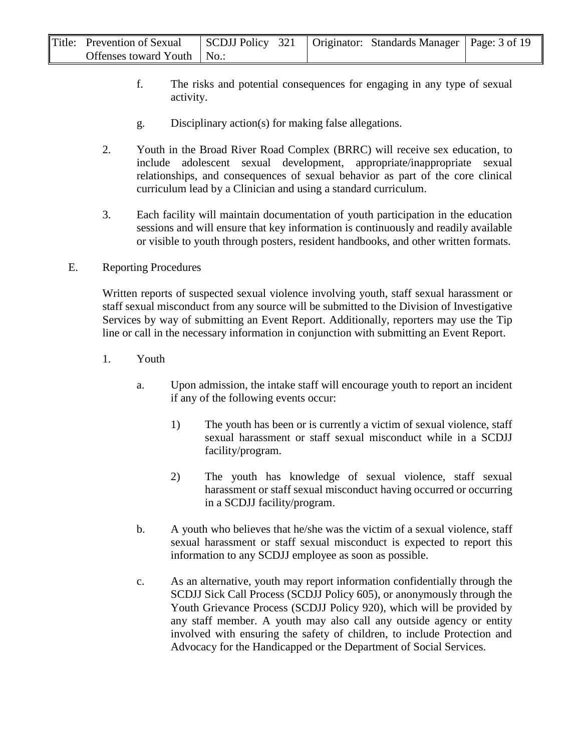| Title: Prevention of Sexual  | SCDJJ Policy 321   Originator: Standards Manager   Page: 3 of 19 |  |  |
|------------------------------|------------------------------------------------------------------|--|--|
| Offenses toward Youth   No.: |                                                                  |  |  |

- f. The risks and potential consequences for engaging in any type of sexual activity.
- g. Disciplinary action(s) for making false allegations.
- 2. Youth in the Broad River Road Complex (BRRC) will receive sex education, to include adolescent sexual development, appropriate/inappropriate sexual relationships, and consequences of sexual behavior as part of the core clinical curriculum lead by a Clinician and using a standard curriculum.
- 3. Each facility will maintain documentation of youth participation in the education sessions and will ensure that key information is continuously and readily available or visible to youth through posters, resident handbooks, and other written formats.

#### E. Reporting Procedures

Written reports of suspected sexual violence involving youth, staff sexual harassment or staff sexual misconduct from any source will be submitted to the Division of Investigative Services by way of submitting an Event Report. Additionally, reporters may use the Tip line or call in the necessary information in conjunction with submitting an Event Report.

- 1. Youth
	- a. Upon admission, the intake staff will encourage youth to report an incident if any of the following events occur:
		- 1) The youth has been or is currently a victim of sexual violence, staff sexual harassment or staff sexual misconduct while in a SCDJJ facility/program.
		- 2) The youth has knowledge of sexual violence, staff sexual harassment or staff sexual misconduct having occurred or occurring in a SCDJJ facility/program.
	- b. A youth who believes that he/she was the victim of a sexual violence, staff sexual harassment or staff sexual misconduct is expected to report this information to any SCDJJ employee as soon as possible.
	- c. As an alternative, youth may report information confidentially through the SCDJJ Sick Call Process (SCDJJ Policy 605), or anonymously through the Youth Grievance Process (SCDJJ Policy 920), which will be provided by any staff member. A youth may also call any outside agency or entity involved with ensuring the safety of children, to include Protection and Advocacy for the Handicapped or the Department of Social Services.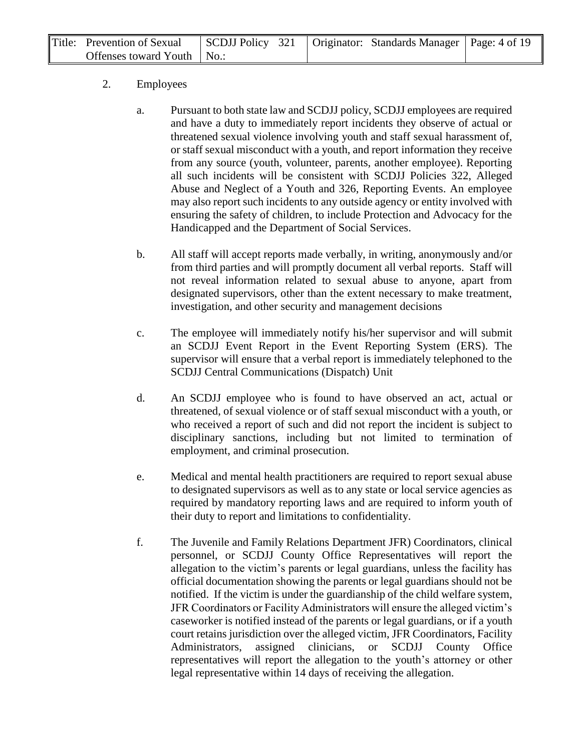| Title: Prevention of Sexual  |  | $\log$ SCDJJ Policy 321   Originator: Standards Manager   Page: 4 of 19 |  |
|------------------------------|--|-------------------------------------------------------------------------|--|
| Offenses toward Youth   No.: |  |                                                                         |  |

### 2. Employees

- a. Pursuant to both state law and SCDJJ policy, SCDJJ employees are required and have a duty to immediately report incidents they observe of actual or threatened sexual violence involving youth and staff sexual harassment of, or staff sexual misconduct with a youth, and report information they receive from any source (youth, volunteer, parents, another employee). Reporting all such incidents will be consistent with SCDJJ Policies 322, Alleged Abuse and Neglect of a Youth and 326, Reporting Events. An employee may also report such incidents to any outside agency or entity involved with ensuring the safety of children, to include Protection and Advocacy for the Handicapped and the Department of Social Services.
- b. All staff will accept reports made verbally, in writing, anonymously and/or from third parties and will promptly document all verbal reports. Staff will not reveal information related to sexual abuse to anyone, apart from designated supervisors, other than the extent necessary to make treatment, investigation, and other security and management decisions
- c. The employee will immediately notify his/her supervisor and will submit an SCDJJ Event Report in the Event Reporting System (ERS). The supervisor will ensure that a verbal report is immediately telephoned to the SCDJJ Central Communications (Dispatch) Unit
- d. An SCDJJ employee who is found to have observed an act, actual or threatened, of sexual violence or of staff sexual misconduct with a youth, or who received a report of such and did not report the incident is subject to disciplinary sanctions, including but not limited to termination of employment, and criminal prosecution.
- e. Medical and mental health practitioners are required to report sexual abuse to designated supervisors as well as to any state or local service agencies as required by mandatory reporting laws and are required to inform youth of their duty to report and limitations to confidentiality.
- f. The Juvenile and Family Relations Department JFR) Coordinators, clinical personnel, or SCDJJ County Office Representatives will report the allegation to the victim's parents or legal guardians, unless the facility has official documentation showing the parents or legal guardians should not be notified. If the victim is under the guardianship of the child welfare system, JFR Coordinators or Facility Administrators will ensure the alleged victim's caseworker is notified instead of the parents or legal guardians, or if a youth court retains jurisdiction over the alleged victim, JFR Coordinators, Facility Administrators, assigned clinicians, or SCDJJ County Office representatives will report the allegation to the youth's attorney or other legal representative within 14 days of receiving the allegation.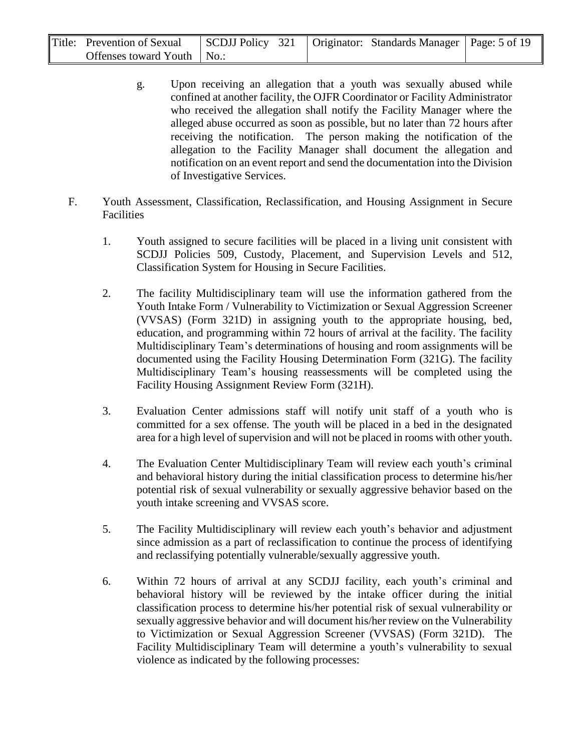| Title: Prevention of Sexual  |  | SCDJJ Policy 321   Originator: Standards Manager   Page: 5 of 19 |  |
|------------------------------|--|------------------------------------------------------------------|--|
| Offenses toward Youth   No.: |  |                                                                  |  |

- g. Upon receiving an allegation that a youth was sexually abused while confined at another facility, the OJFR Coordinator or Facility Administrator who received the allegation shall notify the Facility Manager where the alleged abuse occurred as soon as possible, but no later than 72 hours after receiving the notification. The person making the notification of the allegation to the Facility Manager shall document the allegation and notification on an event report and send the documentation into the Division of Investigative Services.
- F. Youth Assessment, Classification, Reclassification, and Housing Assignment in Secure Facilities
	- 1. Youth assigned to secure facilities will be placed in a living unit consistent with SCDJJ Policies 509, Custody, Placement, and Supervision Levels and 512, Classification System for Housing in Secure Facilities.
	- 2. The facility Multidisciplinary team will use the information gathered from the Youth Intake Form / Vulnerability to Victimization or Sexual Aggression Screener (VVSAS) (Form 321D) in assigning youth to the appropriate housing, bed, education, and programming within 72 hours of arrival at the facility. The facility Multidisciplinary Team's determinations of housing and room assignments will be documented using the Facility Housing Determination Form (321G). The facility Multidisciplinary Team's housing reassessments will be completed using the Facility Housing Assignment Review Form (321H).
	- 3. Evaluation Center admissions staff will notify unit staff of a youth who is committed for a sex offense. The youth will be placed in a bed in the designated area for a high level of supervision and will not be placed in rooms with other youth.
	- 4. The Evaluation Center Multidisciplinary Team will review each youth's criminal and behavioral history during the initial classification process to determine his/her potential risk of sexual vulnerability or sexually aggressive behavior based on the youth intake screening and VVSAS score.
	- 5. The Facility Multidisciplinary will review each youth's behavior and adjustment since admission as a part of reclassification to continue the process of identifying and reclassifying potentially vulnerable/sexually aggressive youth.
	- 6. Within 72 hours of arrival at any SCDJJ facility, each youth's criminal and behavioral history will be reviewed by the intake officer during the initial classification process to determine his/her potential risk of sexual vulnerability or sexually aggressive behavior and will document his/her review on the Vulnerability to Victimization or Sexual Aggression Screener (VVSAS) (Form 321D). The Facility Multidisciplinary Team will determine a youth's vulnerability to sexual violence as indicated by the following processes: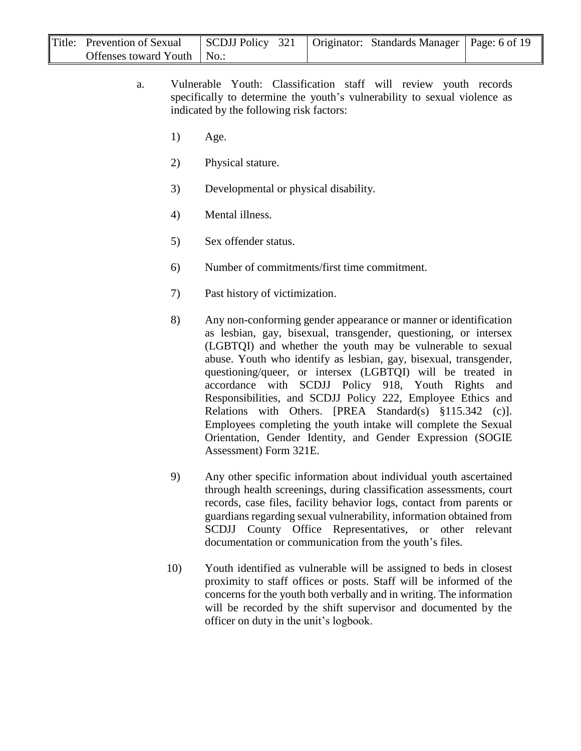| Title: Prevention of Sexual  |  | SCDJJ Policy 321   Originator: Standards Manager   Page: 6 of 19 |  |
|------------------------------|--|------------------------------------------------------------------|--|
| Offenses toward Youth   No.: |  |                                                                  |  |

- a. Vulnerable Youth: Classification staff will review youth records specifically to determine the youth's vulnerability to sexual violence as indicated by the following risk factors:
	- 1) Age.
	- 2) Physical stature.
	- 3) Developmental or physical disability.
	- 4) Mental illness.
	- 5) Sex offender status.
	- 6) Number of commitments/first time commitment.
	- 7) Past history of victimization.
	- 8) Any non-conforming gender appearance or manner or identification as lesbian, gay, bisexual, transgender, questioning, or intersex (LGBTQI) and whether the youth may be vulnerable to sexual abuse. Youth who identify as lesbian, gay, bisexual, transgender, questioning/queer, or intersex (LGBTQI) will be treated in accordance with SCDJJ Policy 918, Youth Rights and Responsibilities, and SCDJJ Policy 222, Employee Ethics and Relations with Others. [PREA Standard(s) §115.342 (c)]. Employees completing the youth intake will complete the Sexual Orientation, Gender Identity, and Gender Expression (SOGIE Assessment) Form 321E.
	- 9) Any other specific information about individual youth ascertained through health screenings, during classification assessments, court records, case files, facility behavior logs, contact from parents or guardians regarding sexual vulnerability, information obtained from SCDJJ County Office Representatives, or other relevant documentation or communication from the youth's files.
	- 10) Youth identified as vulnerable will be assigned to beds in closest proximity to staff offices or posts. Staff will be informed of the concerns for the youth both verbally and in writing. The information will be recorded by the shift supervisor and documented by the officer on duty in the unit's logbook.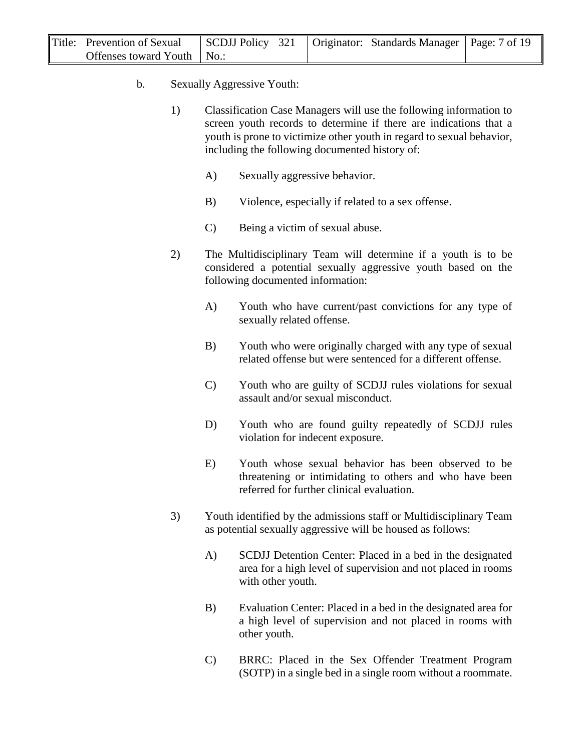| Title: Prevention of Sexual  |  | SCDJJ Policy 321   Originator: Standards Manager   Page: 7 of 19 |  |
|------------------------------|--|------------------------------------------------------------------|--|
| Offenses toward Youth   No.: |  |                                                                  |  |

- b. Sexually Aggressive Youth:
	- 1) Classification Case Managers will use the following information to screen youth records to determine if there are indications that a youth is prone to victimize other youth in regard to sexual behavior, including the following documented history of:
		- A) Sexually aggressive behavior.
		- B) Violence, especially if related to a sex offense.
		- C) Being a victim of sexual abuse.
	- 2) The Multidisciplinary Team will determine if a youth is to be considered a potential sexually aggressive youth based on the following documented information:
		- A) Youth who have current/past convictions for any type of sexually related offense.
		- B) Youth who were originally charged with any type of sexual related offense but were sentenced for a different offense.
		- C) Youth who are guilty of SCDJJ rules violations for sexual assault and/or sexual misconduct.
		- D) Youth who are found guilty repeatedly of SCDJJ rules violation for indecent exposure.
		- E) Youth whose sexual behavior has been observed to be threatening or intimidating to others and who have been referred for further clinical evaluation.
	- 3) Youth identified by the admissions staff or Multidisciplinary Team as potential sexually aggressive will be housed as follows:
		- A) SCDJJ Detention Center: Placed in a bed in the designated area for a high level of supervision and not placed in rooms with other youth.
		- B) Evaluation Center: Placed in a bed in the designated area for a high level of supervision and not placed in rooms with other youth.
		- C) BRRC: Placed in the Sex Offender Treatment Program (SOTP) in a single bed in a single room without a roommate.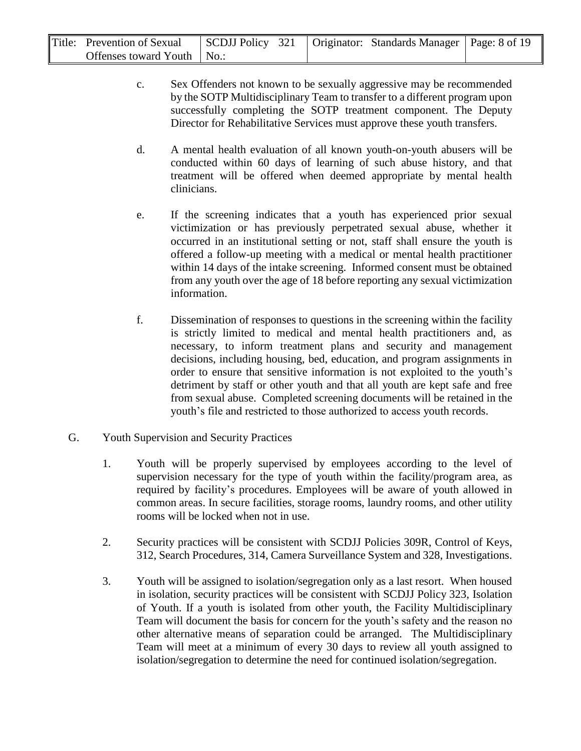| Title: Prevention of Sexual  |  | SCDJJ Policy 321   Originator: Standards Manager   Page: 8 of 19 |  |
|------------------------------|--|------------------------------------------------------------------|--|
| Offenses toward Youth   No.: |  |                                                                  |  |

- c. Sex Offenders not known to be sexually aggressive may be recommended by the SOTP Multidisciplinary Team to transfer to a different program upon successfully completing the SOTP treatment component. The Deputy Director for Rehabilitative Services must approve these youth transfers.
- d. A mental health evaluation of all known youth-on-youth abusers will be conducted within 60 days of learning of such abuse history, and that treatment will be offered when deemed appropriate by mental health clinicians.
- e. If the screening indicates that a youth has experienced prior sexual victimization or has previously perpetrated sexual abuse, whether it occurred in an institutional setting or not, staff shall ensure the youth is offered a follow-up meeting with a medical or mental health practitioner within 14 days of the intake screening. Informed consent must be obtained from any youth over the age of 18 before reporting any sexual victimization information.
- f. Dissemination of responses to questions in the screening within the facility is strictly limited to medical and mental health practitioners and, as necessary, to inform treatment plans and security and management decisions, including housing, bed, education, and program assignments in order to ensure that sensitive information is not exploited to the youth's detriment by staff or other youth and that all youth are kept safe and free from sexual abuse. Completed screening documents will be retained in the youth's file and restricted to those authorized to access youth records.
- G. Youth Supervision and Security Practices
	- 1. Youth will be properly supervised by employees according to the level of supervision necessary for the type of youth within the facility/program area, as required by facility's procedures. Employees will be aware of youth allowed in common areas. In secure facilities, storage rooms, laundry rooms, and other utility rooms will be locked when not in use.
	- 2. Security practices will be consistent with SCDJJ Policies 309R, Control of Keys, 312, Search Procedures, 314, Camera Surveillance System and 328, Investigations.
	- 3. Youth will be assigned to isolation/segregation only as a last resort. When housed in isolation, security practices will be consistent with SCDJJ Policy 323, Isolation of Youth. If a youth is isolated from other youth, the Facility Multidisciplinary Team will document the basis for concern for the youth's safety and the reason no other alternative means of separation could be arranged. The Multidisciplinary Team will meet at a minimum of every 30 days to review all youth assigned to isolation/segregation to determine the need for continued isolation/segregation.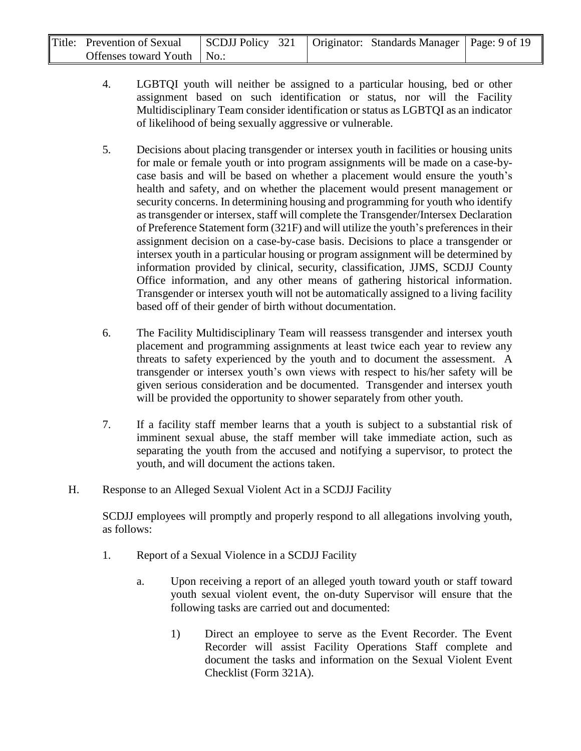| Title: Prevention of Sexual  |  | SCDJJ Policy 321   Originator: Standards Manager   Page: 9 of 19 |  |
|------------------------------|--|------------------------------------------------------------------|--|
| Offenses toward Youth   No.: |  |                                                                  |  |

- 4. LGBTQI youth will neither be assigned to a particular housing, bed or other assignment based on such identification or status, nor will the Facility Multidisciplinary Team consider identification or status as LGBTQI as an indicator of likelihood of being sexually aggressive or vulnerable.
- 5. Decisions about placing transgender or intersex youth in facilities or housing units for male or female youth or into program assignments will be made on a case-bycase basis and will be based on whether a placement would ensure the youth's health and safety, and on whether the placement would present management or security concerns. In determining housing and programming for youth who identify as transgender or intersex, staff will complete the Transgender/Intersex Declaration of Preference Statement form (321F) and will utilize the youth's preferences in their assignment decision on a case-by-case basis. Decisions to place a transgender or intersex youth in a particular housing or program assignment will be determined by information provided by clinical, security, classification, JJMS, SCDJJ County Office information, and any other means of gathering historical information. Transgender or intersex youth will not be automatically assigned to a living facility based off of their gender of birth without documentation.
- 6. The Facility Multidisciplinary Team will reassess transgender and intersex youth placement and programming assignments at least twice each year to review any threats to safety experienced by the youth and to document the assessment. A transgender or intersex youth's own views with respect to his/her safety will be given serious consideration and be documented. Transgender and intersex youth will be provided the opportunity to shower separately from other youth.
- 7. If a facility staff member learns that a youth is subject to a substantial risk of imminent sexual abuse, the staff member will take immediate action, such as separating the youth from the accused and notifying a supervisor, to protect the youth, and will document the actions taken.
- H. Response to an Alleged Sexual Violent Act in a SCDJJ Facility

SCDJJ employees will promptly and properly respond to all allegations involving youth, as follows:

- 1. Report of a Sexual Violence in a SCDJJ Facility
	- a. Upon receiving a report of an alleged youth toward youth or staff toward youth sexual violent event, the on-duty Supervisor will ensure that the following tasks are carried out and documented:
		- 1) Direct an employee to serve as the Event Recorder. The Event Recorder will assist Facility Operations Staff complete and document the tasks and information on the Sexual Violent Event Checklist (Form 321A).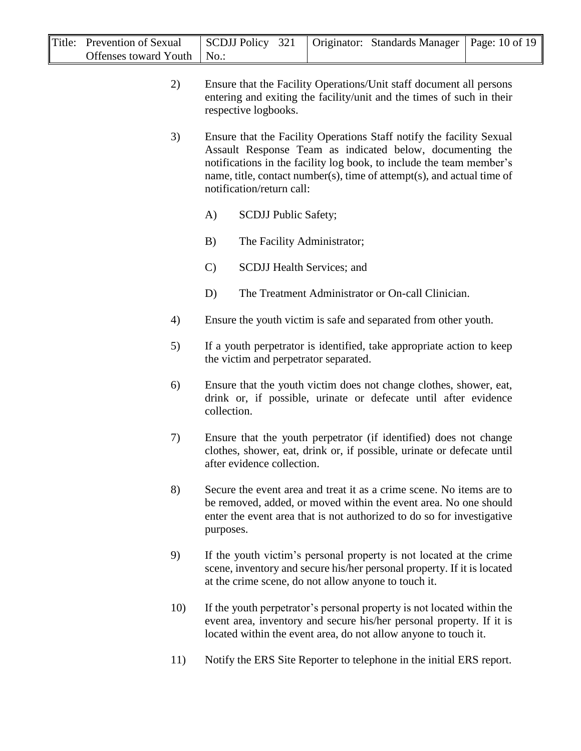| Title: Prevention of Sexual  |  | SCDJJ Policy 321   Originator: Standards Manager   Page: 10 of 19 |  |
|------------------------------|--|-------------------------------------------------------------------|--|
| Offenses toward Youth   No.: |  |                                                                   |  |

- 2) Ensure that the Facility Operations/Unit staff document all persons entering and exiting the facility/unit and the times of such in their respective logbooks.
- 3) Ensure that the Facility Operations Staff notify the facility Sexual Assault Response Team as indicated below, documenting the notifications in the facility log book, to include the team member's name, title, contact number(s), time of attempt(s), and actual time of notification/return call:
	- A) SCDJJ Public Safety;
	- B) The Facility Administrator;
	- C) SCDJJ Health Services; and
	- D) The Treatment Administrator or On-call Clinician.
- 4) Ensure the youth victim is safe and separated from other youth.
- 5) If a youth perpetrator is identified, take appropriate action to keep the victim and perpetrator separated.
- 6) Ensure that the youth victim does not change clothes, shower, eat, drink or, if possible, urinate or defecate until after evidence collection.
- 7) Ensure that the youth perpetrator (if identified) does not change clothes, shower, eat, drink or, if possible, urinate or defecate until after evidence collection.
- 8) Secure the event area and treat it as a crime scene. No items are to be removed, added, or moved within the event area. No one should enter the event area that is not authorized to do so for investigative purposes.
- 9) If the youth victim's personal property is not located at the crime scene, inventory and secure his/her personal property. If it is located at the crime scene, do not allow anyone to touch it.
- 10) If the youth perpetrator's personal property is not located within the event area, inventory and secure his/her personal property. If it is located within the event area, do not allow anyone to touch it.
- 11) Notify the ERS Site Reporter to telephone in the initial ERS report.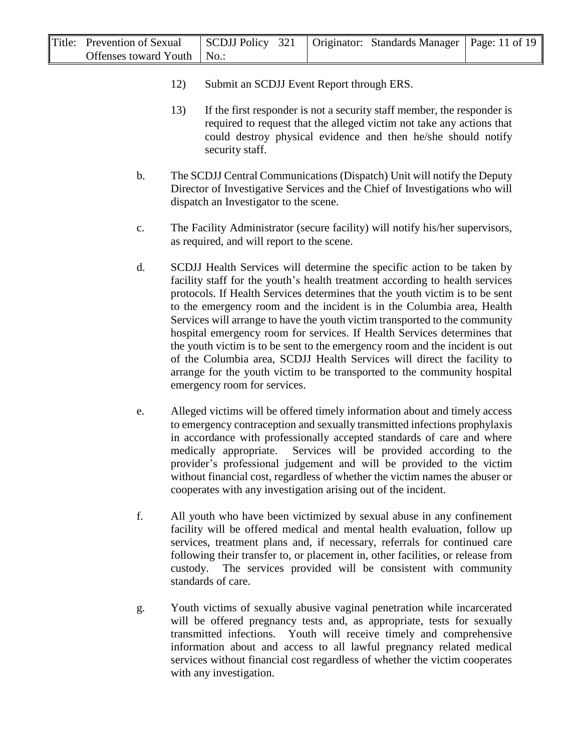| Title: Prevention of Sexual  | SCDJJ Policy 321   Originator: Standards Manager   Page: 11 of 19 |  |  |
|------------------------------|-------------------------------------------------------------------|--|--|
| Offenses toward Youth   No.: |                                                                   |  |  |

- 12) Submit an SCDJJ Event Report through ERS.
- 13) If the first responder is not a security staff member, the responder is required to request that the alleged victim not take any actions that could destroy physical evidence and then he/she should notify security staff.
- b. The SCDJJ Central Communications (Dispatch) Unit will notify the Deputy Director of Investigative Services and the Chief of Investigations who will dispatch an Investigator to the scene.
- c. The Facility Administrator (secure facility) will notify his/her supervisors, as required, and will report to the scene.
- d. SCDJJ Health Services will determine the specific action to be taken by facility staff for the youth's health treatment according to health services protocols. If Health Services determines that the youth victim is to be sent to the emergency room and the incident is in the Columbia area, Health Services will arrange to have the youth victim transported to the community hospital emergency room for services. If Health Services determines that the youth victim is to be sent to the emergency room and the incident is out of the Columbia area, SCDJJ Health Services will direct the facility to arrange for the youth victim to be transported to the community hospital emergency room for services.
- e. Alleged victims will be offered timely information about and timely access to emergency contraception and sexually transmitted infections prophylaxis in accordance with professionally accepted standards of care and where medically appropriate. Services will be provided according to the provider's professional judgement and will be provided to the victim without financial cost, regardless of whether the victim names the abuser or cooperates with any investigation arising out of the incident.
- f. All youth who have been victimized by sexual abuse in any confinement facility will be offered medical and mental health evaluation, follow up services, treatment plans and, if necessary, referrals for continued care following their transfer to, or placement in, other facilities, or release from custody. The services provided will be consistent with community standards of care.
- g. Youth victims of sexually abusive vaginal penetration while incarcerated will be offered pregnancy tests and, as appropriate, tests for sexually transmitted infections. Youth will receive timely and comprehensive information about and access to all lawful pregnancy related medical services without financial cost regardless of whether the victim cooperates with any investigation.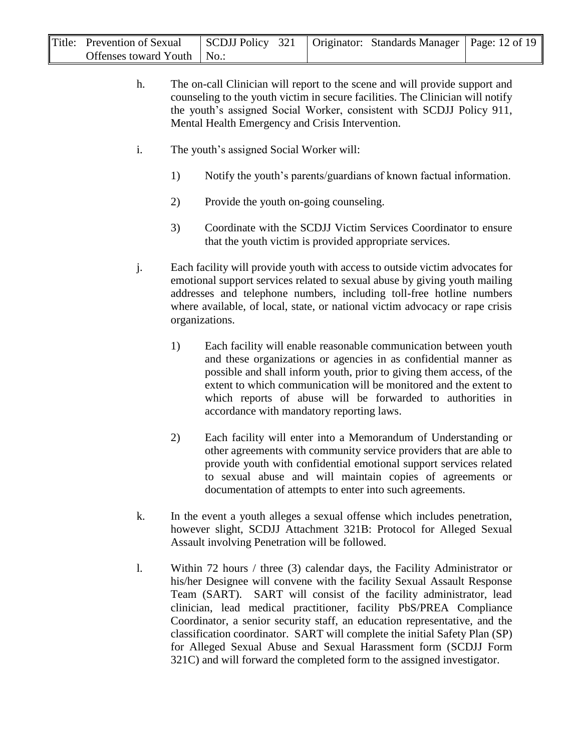| Title: Prevention of Sexual  | SCDJJ Policy 321   Originator: Standards Manager   Page: 12 of 19 |  |  |
|------------------------------|-------------------------------------------------------------------|--|--|
| Offenses toward Youth   No.: |                                                                   |  |  |

- h. The on-call Clinician will report to the scene and will provide support and counseling to the youth victim in secure facilities. The Clinician will notify the youth's assigned Social Worker, consistent with SCDJJ Policy 911, Mental Health Emergency and Crisis Intervention.
- i. The youth's assigned Social Worker will:
	- 1) Notify the youth's parents/guardians of known factual information.
	- 2) Provide the youth on-going counseling.
	- 3) Coordinate with the SCDJJ Victim Services Coordinator to ensure that the youth victim is provided appropriate services.
- j. Each facility will provide youth with access to outside victim advocates for emotional support services related to sexual abuse by giving youth mailing addresses and telephone numbers, including toll-free hotline numbers where available, of local, state, or national victim advocacy or rape crisis organizations.
	- 1) Each facility will enable reasonable communication between youth and these organizations or agencies in as confidential manner as possible and shall inform youth, prior to giving them access, of the extent to which communication will be monitored and the extent to which reports of abuse will be forwarded to authorities in accordance with mandatory reporting laws.
	- 2) Each facility will enter into a Memorandum of Understanding or other agreements with community service providers that are able to provide youth with confidential emotional support services related to sexual abuse and will maintain copies of agreements or documentation of attempts to enter into such agreements.
- k. In the event a youth alleges a sexual offense which includes penetration, however slight, SCDJJ Attachment 321B: Protocol for Alleged Sexual Assault involving Penetration will be followed.
- l. Within 72 hours / three (3) calendar days, the Facility Administrator or his/her Designee will convene with the facility Sexual Assault Response Team (SART). SART will consist of the facility administrator, lead clinician, lead medical practitioner, facility PbS/PREA Compliance Coordinator, a senior security staff, an education representative, and the classification coordinator. SART will complete the initial Safety Plan (SP) for Alleged Sexual Abuse and Sexual Harassment form (SCDJJ Form 321C) and will forward the completed form to the assigned investigator.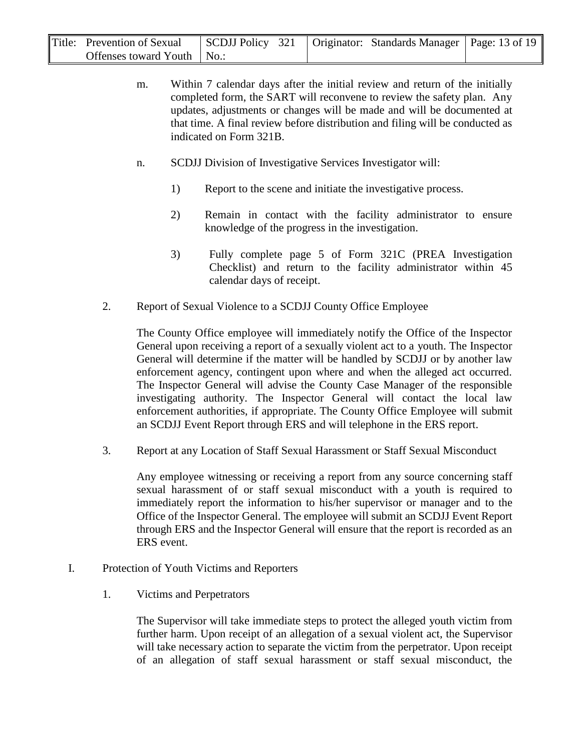| Title: Prevention of Sexual  | SCDJJ Policy 321   Originator: Standards Manager   Page: 13 of 19 |  |  |
|------------------------------|-------------------------------------------------------------------|--|--|
| Offenses toward Youth   No.: |                                                                   |  |  |

- m. Within 7 calendar days after the initial review and return of the initially completed form, the SART will reconvene to review the safety plan. Any updates, adjustments or changes will be made and will be documented at that time. A final review before distribution and filing will be conducted as indicated on Form 321B.
- n. SCDJJ Division of Investigative Services Investigator will:
	- 1) Report to the scene and initiate the investigative process.
	- 2) Remain in contact with the facility administrator to ensure knowledge of the progress in the investigation.
	- 3) Fully complete page 5 of Form 321C (PREA Investigation Checklist) and return to the facility administrator within 45 calendar days of receipt.
- 2. Report of Sexual Violence to a SCDJJ County Office Employee

The County Office employee will immediately notify the Office of the Inspector General upon receiving a report of a sexually violent act to a youth. The Inspector General will determine if the matter will be handled by SCDJJ or by another law enforcement agency, contingent upon where and when the alleged act occurred. The Inspector General will advise the County Case Manager of the responsible investigating authority. The Inspector General will contact the local law enforcement authorities, if appropriate. The County Office Employee will submit an SCDJJ Event Report through ERS and will telephone in the ERS report.

3. Report at any Location of Staff Sexual Harassment or Staff Sexual Misconduct

Any employee witnessing or receiving a report from any source concerning staff sexual harassment of or staff sexual misconduct with a youth is required to immediately report the information to his/her supervisor or manager and to the Office of the Inspector General. The employee will submit an SCDJJ Event Report through ERS and the Inspector General will ensure that the report is recorded as an ERS event.

- I. Protection of Youth Victims and Reporters
	- 1. Victims and Perpetrators

The Supervisor will take immediate steps to protect the alleged youth victim from further harm. Upon receipt of an allegation of a sexual violent act, the Supervisor will take necessary action to separate the victim from the perpetrator. Upon receipt of an allegation of staff sexual harassment or staff sexual misconduct, the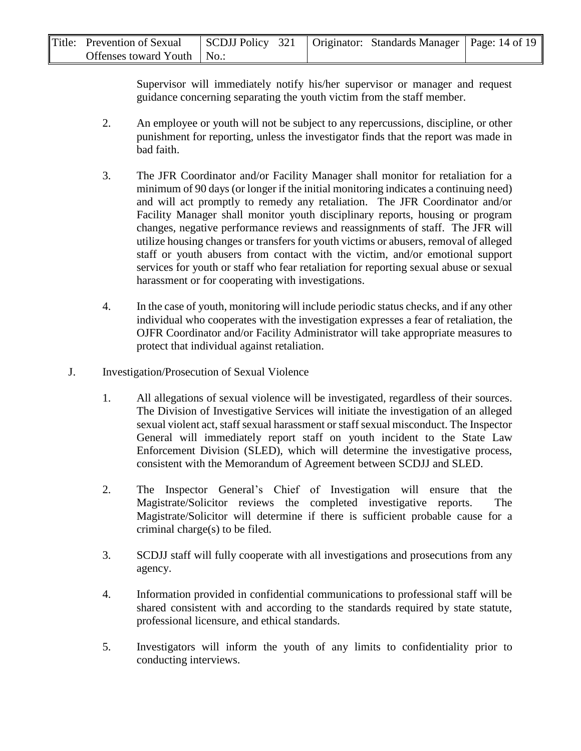| Title: Prevention of Sexual  |  | SCDJJ Policy 321   Originator: Standards Manager   Page: 14 of 19 |  |
|------------------------------|--|-------------------------------------------------------------------|--|
| Offenses toward Youth   No.: |  |                                                                   |  |

Supervisor will immediately notify his/her supervisor or manager and request guidance concerning separating the youth victim from the staff member.

- 2. An employee or youth will not be subject to any repercussions, discipline, or other punishment for reporting, unless the investigator finds that the report was made in bad faith.
- 3. The JFR Coordinator and/or Facility Manager shall monitor for retaliation for a minimum of 90 days (or longer if the initial monitoring indicates a continuing need) and will act promptly to remedy any retaliation. The JFR Coordinator and/or Facility Manager shall monitor youth disciplinary reports, housing or program changes, negative performance reviews and reassignments of staff. The JFR will utilize housing changes or transfers for youth victims or abusers, removal of alleged staff or youth abusers from contact with the victim, and/or emotional support services for youth or staff who fear retaliation for reporting sexual abuse or sexual harassment or for cooperating with investigations.
- 4. In the case of youth, monitoring will include periodic status checks, and if any other individual who cooperates with the investigation expresses a fear of retaliation, the OJFR Coordinator and/or Facility Administrator will take appropriate measures to protect that individual against retaliation.
- J. Investigation/Prosecution of Sexual Violence
	- 1. All allegations of sexual violence will be investigated, regardless of their sources. The Division of Investigative Services will initiate the investigation of an alleged sexual violent act, staff sexual harassment or staff sexual misconduct. The Inspector General will immediately report staff on youth incident to the State Law Enforcement Division (SLED), which will determine the investigative process, consistent with the Memorandum of Agreement between SCDJJ and SLED.
	- 2. The Inspector General's Chief of Investigation will ensure that the Magistrate/Solicitor reviews the completed investigative reports. The Magistrate/Solicitor will determine if there is sufficient probable cause for a criminal charge(s) to be filed.
	- 3. SCDJJ staff will fully cooperate with all investigations and prosecutions from any agency.
	- 4. Information provided in confidential communications to professional staff will be shared consistent with and according to the standards required by state statute, professional licensure, and ethical standards.
	- 5. Investigators will inform the youth of any limits to confidentiality prior to conducting interviews.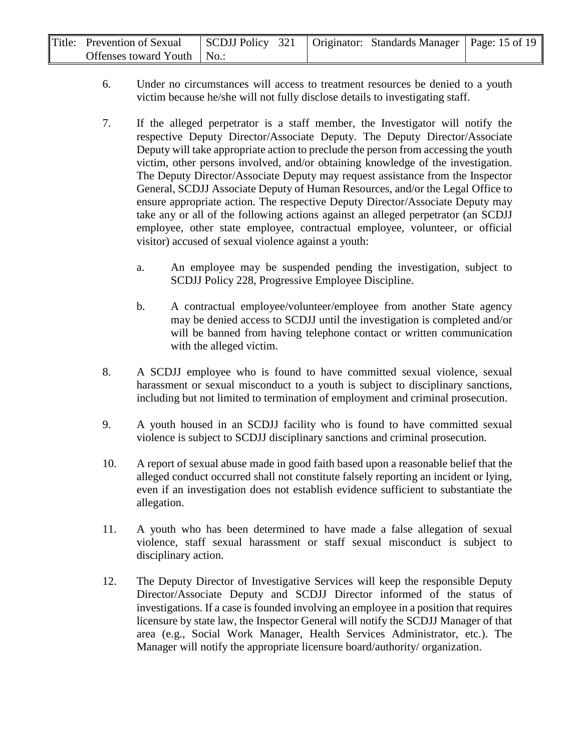| Title: Prevention of Sexual  | SCDJJ Policy 321   Originator: Standards Manager   Page: 15 of 19 |  |  |
|------------------------------|-------------------------------------------------------------------|--|--|
| Offenses toward Youth   No.: |                                                                   |  |  |

- 6. Under no circumstances will access to treatment resources be denied to a youth victim because he/she will not fully disclose details to investigating staff.
- 7. If the alleged perpetrator is a staff member, the Investigator will notify the respective Deputy Director/Associate Deputy. The Deputy Director/Associate Deputy will take appropriate action to preclude the person from accessing the youth victim, other persons involved, and/or obtaining knowledge of the investigation. The Deputy Director/Associate Deputy may request assistance from the Inspector General, SCDJJ Associate Deputy of Human Resources, and/or the Legal Office to ensure appropriate action. The respective Deputy Director/Associate Deputy may take any or all of the following actions against an alleged perpetrator (an SCDJJ employee, other state employee, contractual employee, volunteer, or official visitor) accused of sexual violence against a youth:
	- a. An employee may be suspended pending the investigation, subject to SCDJJ Policy 228, Progressive Employee Discipline.
	- b. A contractual employee/volunteer/employee from another State agency may be denied access to SCDJJ until the investigation is completed and/or will be banned from having telephone contact or written communication with the alleged victim.
- 8. A SCDJJ employee who is found to have committed sexual violence, sexual harassment or sexual misconduct to a youth is subject to disciplinary sanctions, including but not limited to termination of employment and criminal prosecution.
- 9. A youth housed in an SCDJJ facility who is found to have committed sexual violence is subject to SCDJJ disciplinary sanctions and criminal prosecution.
- 10. A report of sexual abuse made in good faith based upon a reasonable belief that the alleged conduct occurred shall not constitute falsely reporting an incident or lying, even if an investigation does not establish evidence sufficient to substantiate the allegation.
- 11. A youth who has been determined to have made a false allegation of sexual violence, staff sexual harassment or staff sexual misconduct is subject to disciplinary action.
- 12. The Deputy Director of Investigative Services will keep the responsible Deputy Director/Associate Deputy and SCDJJ Director informed of the status of investigations. If a case is founded involving an employee in a position that requires licensure by state law, the Inspector General will notify the SCDJJ Manager of that area (e.g., Social Work Manager, Health Services Administrator, etc.). The Manager will notify the appropriate licensure board/authority/ organization.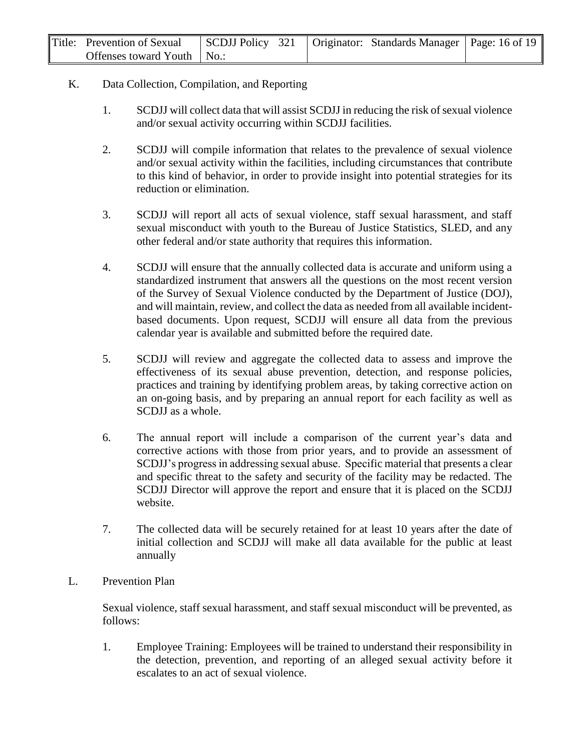| Title: Prevention of Sexual  |  | SCDJJ Policy 321   Originator: Standards Manager   Page: 16 of 19 |  |
|------------------------------|--|-------------------------------------------------------------------|--|
| Offenses toward Youth   No.: |  |                                                                   |  |

#### K. Data Collection, Compilation, and Reporting

- 1. SCDJJ will collect data that will assist SCDJJ in reducing the risk of sexual violence and/or sexual activity occurring within SCDJJ facilities.
- 2. SCDJJ will compile information that relates to the prevalence of sexual violence and/or sexual activity within the facilities, including circumstances that contribute to this kind of behavior, in order to provide insight into potential strategies for its reduction or elimination.
- 3. SCDJJ will report all acts of sexual violence, staff sexual harassment, and staff sexual misconduct with youth to the Bureau of Justice Statistics, SLED, and any other federal and/or state authority that requires this information.
- 4. SCDJJ will ensure that the annually collected data is accurate and uniform using a standardized instrument that answers all the questions on the most recent version of the Survey of Sexual Violence conducted by the Department of Justice (DOJ), and will maintain, review, and collect the data as needed from all available incidentbased documents. Upon request, SCDJJ will ensure all data from the previous calendar year is available and submitted before the required date.
- 5. SCDJJ will review and aggregate the collected data to assess and improve the effectiveness of its sexual abuse prevention, detection, and response policies, practices and training by identifying problem areas, by taking corrective action on an on-going basis, and by preparing an annual report for each facility as well as SCDJJ as a whole.
- 6. The annual report will include a comparison of the current year's data and corrective actions with those from prior years, and to provide an assessment of SCDJJ's progress in addressing sexual abuse. Specific material that presents a clear and specific threat to the safety and security of the facility may be redacted. The SCDJJ Director will approve the report and ensure that it is placed on the SCDJJ website.
- 7. The collected data will be securely retained for at least 10 years after the date of initial collection and SCDJJ will make all data available for the public at least annually
- L. Prevention Plan

Sexual violence, staff sexual harassment, and staff sexual misconduct will be prevented, as follows:

1. Employee Training: Employees will be trained to understand their responsibility in the detection, prevention, and reporting of an alleged sexual activity before it escalates to an act of sexual violence.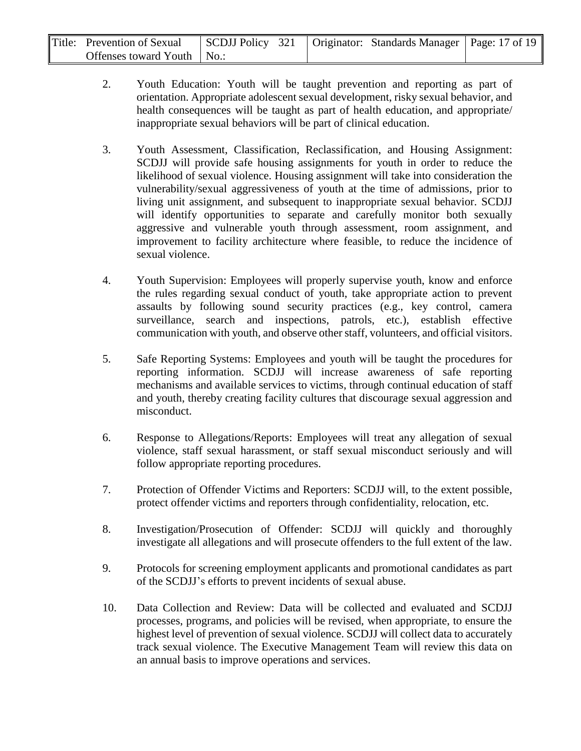| Title: Prevention of Sexual  | SCDJJ Policy 321   Originator: Standards Manager   Page: 17 of 19 |  |  |
|------------------------------|-------------------------------------------------------------------|--|--|
| Offenses toward Youth   No.: |                                                                   |  |  |

- 2. Youth Education: Youth will be taught prevention and reporting as part of orientation. Appropriate adolescent sexual development, risky sexual behavior, and health consequences will be taught as part of health education, and appropriate/ inappropriate sexual behaviors will be part of clinical education.
- 3. Youth Assessment, Classification, Reclassification, and Housing Assignment: SCDJJ will provide safe housing assignments for youth in order to reduce the likelihood of sexual violence. Housing assignment will take into consideration the vulnerability/sexual aggressiveness of youth at the time of admissions, prior to living unit assignment, and subsequent to inappropriate sexual behavior. SCDJJ will identify opportunities to separate and carefully monitor both sexually aggressive and vulnerable youth through assessment, room assignment, and improvement to facility architecture where feasible, to reduce the incidence of sexual violence.
- 4. Youth Supervision: Employees will properly supervise youth, know and enforce the rules regarding sexual conduct of youth, take appropriate action to prevent assaults by following sound security practices (e.g., key control, camera surveillance, search and inspections, patrols, etc.), establish effective communication with youth, and observe other staff, volunteers, and official visitors.
- 5. Safe Reporting Systems: Employees and youth will be taught the procedures for reporting information. SCDJJ will increase awareness of safe reporting mechanisms and available services to victims, through continual education of staff and youth, thereby creating facility cultures that discourage sexual aggression and misconduct.
- 6. Response to Allegations/Reports: Employees will treat any allegation of sexual violence, staff sexual harassment, or staff sexual misconduct seriously and will follow appropriate reporting procedures.
- 7. Protection of Offender Victims and Reporters: SCDJJ will, to the extent possible, protect offender victims and reporters through confidentiality, relocation, etc.
- 8. Investigation/Prosecution of Offender: SCDJJ will quickly and thoroughly investigate all allegations and will prosecute offenders to the full extent of the law.
- 9. Protocols for screening employment applicants and promotional candidates as part of the SCDJJ's efforts to prevent incidents of sexual abuse.
- 10. Data Collection and Review: Data will be collected and evaluated and SCDJJ processes, programs, and policies will be revised, when appropriate, to ensure the highest level of prevention of sexual violence. SCDJJ will collect data to accurately track sexual violence. The Executive Management Team will review this data on an annual basis to improve operations and services.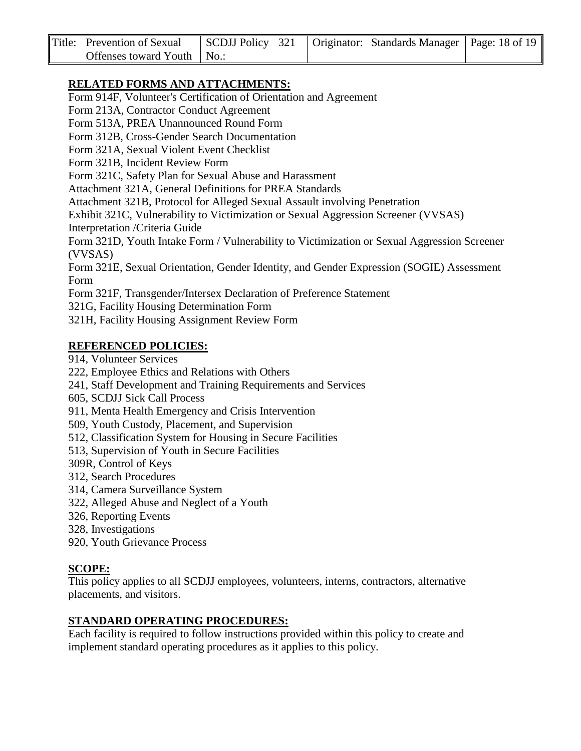| Title: Prevention of Sexual  |  | SCDJJ Policy 321   Originator: Standards Manager   Page: 18 of 19 |  |
|------------------------------|--|-------------------------------------------------------------------|--|
| Offenses toward Youth   No.: |  |                                                                   |  |

### **RELATED FORMS AND ATTACHMENTS:**

Form 914F, Volunteer's Certification of Orientation and Agreement

Form 213A, Contractor Conduct Agreement

Form 513A, PREA Unannounced Round Form

Form 312B, Cross-Gender Search Documentation

Form 321A, Sexual Violent Event Checklist

Form 321B, Incident Review Form

Form 321C, Safety Plan for Sexual Abuse and Harassment

Attachment 321A, General Definitions for PREA Standards

Attachment 321B, Protocol for Alleged Sexual Assault involving Penetration

Exhibit 321C, Vulnerability to Victimization or Sexual Aggression Screener (VVSAS) Interpretation /Criteria Guide

Form 321D, Youth Intake Form / Vulnerability to Victimization or Sexual Aggression Screener (VVSAS)

Form 321E, Sexual Orientation, Gender Identity, and Gender Expression (SOGIE) Assessment Form

Form 321F, Transgender/Intersex Declaration of Preference Statement

321G, Facility Housing Determination Form

321H, Facility Housing Assignment Review Form

#### **REFERENCED POLICIES:**

914, Volunteer Services

222, Employee Ethics and Relations with Others

241, Staff Development and Training Requirements and Services

- 605, SCDJJ Sick Call Process
- 911, Menta Health Emergency and Crisis Intervention
- 509, Youth Custody, Placement, and Supervision
- 512, Classification System for Housing in Secure Facilities
- 513, Supervision of Youth in Secure Facilities
- 309R, Control of Keys
- 312, Search Procedures
- 314, Camera Surveillance System
- 322, Alleged Abuse and Neglect of a Youth
- 326, Reporting Events
- 328, Investigations
- 920, Youth Grievance Process

#### **SCOPE:**

This policy applies to all SCDJJ employees, volunteers, interns, contractors, alternative placements, and visitors.

#### **STANDARD OPERATING PROCEDURES:**

Each facility is required to follow instructions provided within this policy to create and implement standard operating procedures as it applies to this policy.